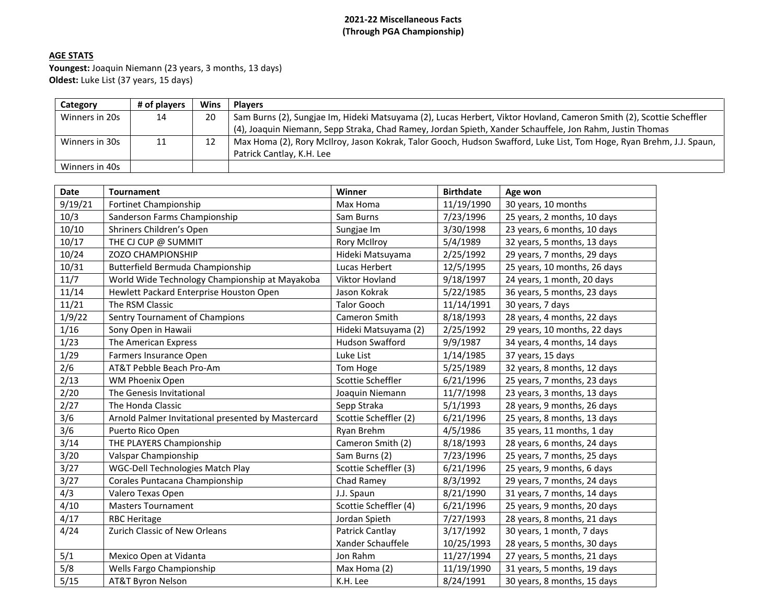# **2021-22 Miscellaneous Facts (Through PGA Championship)**

# **AGE STATS**

**Youngest:** Joaquin Niemann (23 years, 3 months, 13 days) **Oldest:** Luke List (37 years, 15 days)

| Category       | # of plavers | Wins | <b>Plavers</b>                                                                                                       |
|----------------|--------------|------|----------------------------------------------------------------------------------------------------------------------|
| Winners in 20s | 14           | 20   | Sam Burns (2), Sungjae Im, Hideki Matsuyama (2), Lucas Herbert, Viktor Hovland, Cameron Smith (2), Scottie Scheffler |
|                |              |      | (4), Joaquin Niemann, Sepp Straka, Chad Ramey, Jordan Spieth, Xander Schauffele, Jon Rahm, Justin Thomas             |
| Winners in 30s | 11           | 12   | Max Homa (2), Rory McIlroy, Jason Kokrak, Talor Gooch, Hudson Swafford, Luke List, Tom Hoge, Ryan Brehm, J.J. Spaun, |
|                |              |      | Patrick Cantlay, K.H. Lee                                                                                            |
| Winners in 40s |              |      |                                                                                                                      |

| <b>Date</b> | <b>Tournament</b>                                  | Winner                 | <b>Birthdate</b> | Age won                      |
|-------------|----------------------------------------------------|------------------------|------------------|------------------------------|
| 9/19/21     | <b>Fortinet Championship</b>                       | Max Homa               | 11/19/1990       | 30 years, 10 months          |
| 10/3        | Sanderson Farms Championship                       | Sam Burns              | 7/23/1996        | 25 years, 2 months, 10 days  |
| 10/10       | Shriners Children's Open                           | Sungjae Im             | 3/30/1998        | 23 years, 6 months, 10 days  |
| 10/17       | THE CJ CUP @ SUMMIT                                | <b>Rory McIlroy</b>    | 5/4/1989         | 32 years, 5 months, 13 days  |
| 10/24       | ZOZO CHAMPIONSHIP                                  | Hideki Matsuyama       | 2/25/1992        | 29 years, 7 months, 29 days  |
| 10/31       | Butterfield Bermuda Championship                   | Lucas Herbert          | 12/5/1995        | 25 years, 10 months, 26 days |
| 11/7        | World Wide Technology Championship at Mayakoba     | Viktor Hovland         | 9/18/1997        | 24 years, 1 month, 20 days   |
| 11/14       | Hewlett Packard Enterprise Houston Open            | Jason Kokrak           | 5/22/1985        | 36 years, 5 months, 23 days  |
| 11/21       | The RSM Classic                                    | <b>Talor Gooch</b>     | 11/14/1991       | 30 years, 7 days             |
| 1/9/22      | Sentry Tournament of Champions                     | Cameron Smith          | 8/18/1993        | 28 years, 4 months, 22 days  |
| 1/16        | Sony Open in Hawaii                                | Hideki Matsuyama (2)   | 2/25/1992        | 29 years, 10 months, 22 days |
| 1/23        | The American Express                               | <b>Hudson Swafford</b> | 9/9/1987         | 34 years, 4 months, 14 days  |
| 1/29        | Farmers Insurance Open                             | Luke List              | 1/14/1985        | 37 years, 15 days            |
| 2/6         | AT&T Pebble Beach Pro-Am                           | Tom Hoge               | 5/25/1989        | 32 years, 8 months, 12 days  |
| 2/13        | WM Phoenix Open                                    | Scottie Scheffler      | 6/21/1996        | 25 years, 7 months, 23 days  |
| 2/20        | The Genesis Invitational                           | Joaquin Niemann        | 11/7/1998        | 23 years, 3 months, 13 days  |
| 2/27        | The Honda Classic                                  | Sepp Straka            | 5/1/1993         | 28 years, 9 months, 26 days  |
| 3/6         | Arnold Palmer Invitational presented by Mastercard | Scottie Scheffler (2)  | 6/21/1996        | 25 years, 8 months, 13 days  |
| 3/6         | Puerto Rico Open                                   | Ryan Brehm             | 4/5/1986         | 35 years, 11 months, 1 day   |
| 3/14        | THE PLAYERS Championship                           | Cameron Smith (2)      | 8/18/1993        | 28 years, 6 months, 24 days  |
| 3/20        | Valspar Championship                               | Sam Burns (2)          | 7/23/1996        | 25 years, 7 months, 25 days  |
| 3/27        | WGC-Dell Technologies Match Play                   | Scottie Scheffler (3)  | 6/21/1996        | 25 years, 9 months, 6 days   |
| 3/27        | Corales Puntacana Championship                     | Chad Ramey             | 8/3/1992         | 29 years, 7 months, 24 days  |
| 4/3         | Valero Texas Open                                  | J.J. Spaun             | 8/21/1990        | 31 years, 7 months, 14 days  |
| 4/10        | <b>Masters Tournament</b>                          | Scottie Scheffler (4)  | 6/21/1996        | 25 years, 9 months, 20 days  |
| 4/17        | <b>RBC Heritage</b>                                | Jordan Spieth          | 7/27/1993        | 28 years, 8 months, 21 days  |
| 4/24        | Zurich Classic of New Orleans                      | Patrick Cantlay        | 3/17/1992        | 30 years, 1 month, 7 days    |
|             |                                                    | Xander Schauffele      | 10/25/1993       | 28 years, 5 months, 30 days  |
| 5/1         | Mexico Open at Vidanta                             | Jon Rahm               | 11/27/1994       | 27 years, 5 months, 21 days  |
| 5/8         | Wells Fargo Championship                           | Max Homa (2)           | 11/19/1990       | 31 years, 5 months, 19 days  |
| 5/15        | AT&T Byron Nelson                                  | K.H. Lee               | 8/24/1991        | 30 years, 8 months, 15 days  |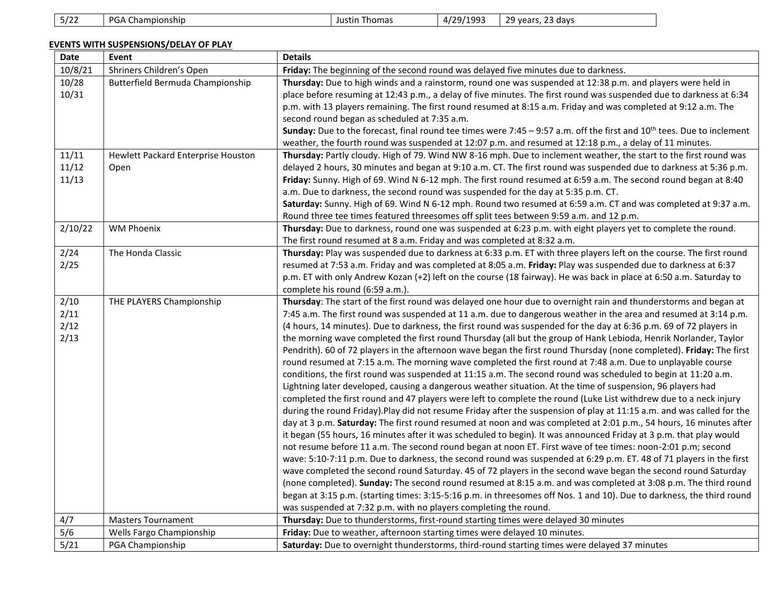# **EVENTS WITH SUSPENSIONS/DELAY OF PLAY**

| Date    | Event                              | <b>Details</b>                                                                                                              |
|---------|------------------------------------|-----------------------------------------------------------------------------------------------------------------------------|
| 10/8/21 | Shriners Children's Open           | Friday: The beginning of the second round was delayed five minutes due to darkness.                                         |
| 10/28   | Butterfield Bermuda Championship   | Thursday: Due to high winds and a rainstorm, round one was suspended at 12:38 p.m. and players were held in                 |
| 10/31   |                                    | place before resuming at 12:43 p.m., a delay of five minutes. The first round was suspended due to darkness at 6:34         |
|         |                                    | p.m. with 13 players remaining. The first round resumed at 8:15 a.m. Friday and was completed at 9:12 a.m. The              |
|         |                                    | second round began as scheduled at 7:35 a.m.                                                                                |
|         |                                    | Sunday: Due to the forecast, final round tee times were 7:45 – 9:57 a.m. off the first and $10^{th}$ tees. Due to inclement |
|         |                                    | weather, the fourth round was suspended at 12:07 p.m. and resumed at 12:18 p.m., a delay of 11 minutes.                     |
| 11/11   | Hewlett Packard Enterprise Houston | Thursday: Partly cloudy. High of 79. Wind NW 8-16 mph. Due to inclement weather, the start to the first round was           |
| 11/12   | Open                               | delayed 2 hours, 30 minutes and began at 9:10 a.m. CT. The first round was suspended due to darkness at 5:36 p.m.           |
| 11/13   |                                    | Friday: Sunny. High of 69. Wind N 6-12 mph. The first round resumed at 6:59 a.m. The second round began at 8:40             |
|         |                                    | a.m. Due to darkness, the second round was suspended for the day at 5:35 p.m. CT.                                           |
|         |                                    | Saturday: Sunny. High of 69. Wind N 6-12 mph. Round two resumed at 6:59 a.m. CT and was completed at 9:37 a.m.              |
|         |                                    | Round three tee times featured threesomes off split tees between 9:59 a.m. and 12 p.m.                                      |
| 2/10/22 | <b>WM Phoenix</b>                  | Thursday: Due to darkness, round one was suspended at 6:23 p.m. with eight players yet to complete the round.               |
|         |                                    | The first round resumed at 8 a.m. Friday and was completed at 8:32 a.m.                                                     |
| 2/24    | The Honda Classic                  | Thursday: Play was suspended due to darkness at 6:33 p.m. ET with three players left on the course. The first round         |
| 2/25    |                                    | resumed at 7:53 a.m. Friday and was completed at 8:05 a.m. Friday: Play was suspended due to darkness at 6:37               |
|         |                                    | p.m. ET with only Andrew Kozan (+2) left on the course (18 fairway). He was back in place at 6:50 a.m. Saturday to          |
|         |                                    | complete his round (6:59 a.m.).                                                                                             |
| 2/10    | THE PLAYERS Championship           | Thursday: The start of the first round was delayed one hour due to overnight rain and thunderstorms and began at            |
| 2/11    |                                    | 7:45 a.m. The first round was suspended at 11 a.m. due to dangerous weather in the area and resumed at 3:14 p.m.            |
| 2/12    |                                    | (4 hours, 14 minutes). Due to darkness, the first round was suspended for the day at 6:36 p.m. 69 of 72 players in          |
| 2/13    |                                    | the morning wave completed the first round Thursday (all but the group of Hank Lebioda, Henrik Norlander, Taylor            |
|         |                                    | Pendrith). 60 of 72 players in the afternoon wave began the first round Thursday (none completed). Friday: The first        |
|         |                                    | round resumed at 7:15 a.m. The morning wave completed the first round at 7:48 a.m. Due to unplayable course                 |
|         |                                    | conditions, the first round was suspended at 11:15 a.m. The second round was scheduled to begin at 11:20 a.m.               |
|         |                                    | Lightning later developed, causing a dangerous weather situation. At the time of suspension, 96 players had                 |
|         |                                    | completed the first round and 47 players were left to complete the round (Luke List withdrew due to a neck injury           |
|         |                                    | during the round Friday). Play did not resume Friday after the suspension of play at 11:15 a.m. and was called for the      |
|         |                                    | day at 3 p.m. Saturday: The first round resumed at noon and was completed at 2:01 p.m., 54 hours, 16 minutes after          |
|         |                                    | it began (55 hours, 16 minutes after it was scheduled to begin). It was announced Friday at 3 p.m. that play would          |
|         |                                    | not resume before 11 a.m. The second round began at noon ET. First wave of tee times: noon-2:01 p.m; second                 |
|         |                                    | wave: 5:10-7:11 p.m. Due to darkness, the second round was suspended at 6:29 p.m. ET. 48 of 71 players in the first         |
|         |                                    | wave completed the second round Saturday. 45 of 72 players in the second wave began the second round Saturday               |
|         |                                    | (none completed). Sunday: The second round resumed at 8:15 a.m. and was completed at 3:08 p.m. The third round              |
|         |                                    | began at 3:15 p.m. (starting times: 3:15-5:16 p.m. in threesomes off Nos. 1 and 10). Due to darkness, the third round       |
|         |                                    | was suspended at 7:32 p.m. with no players completing the round.                                                            |
| 4/7     | <b>Masters Tournament</b>          | Thursday: Due to thunderstorms, first-round starting times were delayed 30 minutes                                          |
| 5/6     | Wells Fargo Championship           | Friday: Due to weather, afternoon starting times were delayed 10 minutes.                                                   |
| 5/21    | PGA Championship                   | Saturday: Due to overnight thunderstorms, third-round starting times were delayed 37 minutes                                |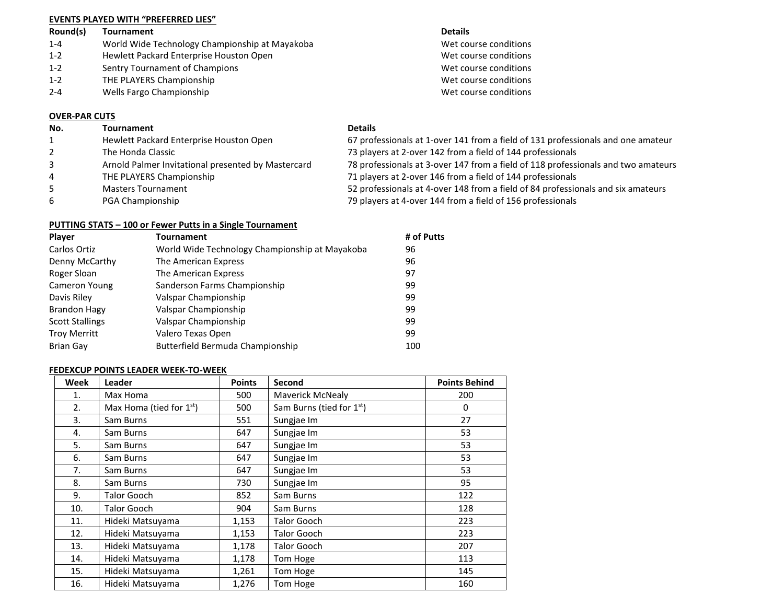## **EVENTS PLAYED WITH "PREFERRED LIES"**

# **Round(s) Tournament Details** 1-4 World Wide Technology Championship at Mayakoba Wet course conditions 1-2 Hewlett Packard Enterprise Houston Open Wet course conditions

- 1-2 Sentry Tournament of Champions Wet course conditions
- 1-2 THE PLAYERS Championship Wet course conditions
- 2-4 Wells Fargo Championship Wet course conditions

## **OVER-PAR CUTS**

#### **No. Tournament Details**

| $\mathbf{1}$ | Hewlett Packard Enterprise Houston Open            | 67 professionals at 1-over 141 from a field of 131 professionals and one amateur  |
|--------------|----------------------------------------------------|-----------------------------------------------------------------------------------|
|              | The Honda Classic                                  | 73 players at 2-over 142 from a field of 144 professionals                        |
|              | Arnold Palmer Invitational presented by Mastercard | 78 professionals at 3-over 147 from a field of 118 professionals and two amateurs |
| 4            | THE PLAYERS Championship                           | 71 players at 2-over 146 from a field of 144 professionals                        |
| 5.           | <b>Masters Tournament</b>                          | 52 professionals at 4-over 148 from a field of 84 professionals and six amateurs  |
| 6            | PGA Championship                                   | 79 players at 4-over 144 from a field of 156 professionals                        |

## **PUTTING STATS – 100 or Fewer Putts in a Single Tournament**

| <b>Player</b>          | <b>Tournament</b>                              | # of Putts |
|------------------------|------------------------------------------------|------------|
| Carlos Ortiz           | World Wide Technology Championship at Mayakoba | 96         |
| Denny McCarthy         | The American Express                           | 96         |
| Roger Sloan            | The American Express                           | 97         |
| Cameron Young          | Sanderson Farms Championship                   | 99         |
| Davis Riley            | Valspar Championship                           | 99         |
| Brandon Hagy           | Valspar Championship                           | 99         |
| <b>Scott Stallings</b> | Valspar Championship                           | 99         |
| <b>Troy Merritt</b>    | Valero Texas Open                              | 99         |
| <b>Brian Gay</b>       | Butterfield Bermuda Championship               | 100        |

## **FEDEXCUP POINTS LEADER WEEK-TO-WEEK**

| Week | Leader                     | <b>Points</b> | Second                   | <b>Points Behind</b> |
|------|----------------------------|---------------|--------------------------|----------------------|
| 1.   | Max Homa                   | 500           | Maverick McNealy         | 200                  |
| 2.   | Max Homa (tied for $1st$ ) | 500           | Sam Burns (tied for 1st) | 0                    |
| 3.   | Sam Burns                  | 551           | Sungjae Im               | 27                   |
| 4.   | Sam Burns                  | 647           | Sungjae Im               | 53                   |
| 5.   | Sam Burns                  | 647           | Sungjae Im               | 53                   |
| 6.   | Sam Burns                  | 647           | Sungjae Im               | 53                   |
| 7.   | Sam Burns                  | 647           | Sungjae Im               | 53                   |
| 8.   | Sam Burns                  | 730           | Sungjae Im               | 95                   |
| 9.   | Talor Gooch                | 852           | Sam Burns                | 122                  |
| 10.  | Talor Gooch                | 904           | Sam Burns                | 128                  |
| 11.  | Hideki Matsuyama           | 1,153         | <b>Talor Gooch</b>       | 223                  |
| 12.  | Hideki Matsuyama           | 1,153         | <b>Talor Gooch</b>       | 223                  |
| 13.  | Hideki Matsuyama           | 1,178         | <b>Talor Gooch</b>       | 207                  |
| 14.  | Hideki Matsuyama           | 1,178         | Tom Hoge                 | 113                  |
| 15.  | Hideki Matsuyama           | 1,261         | Tom Hoge                 | 145                  |
| 16.  | Hideki Matsuyama           | 1,276         | Tom Hoge                 | 160                  |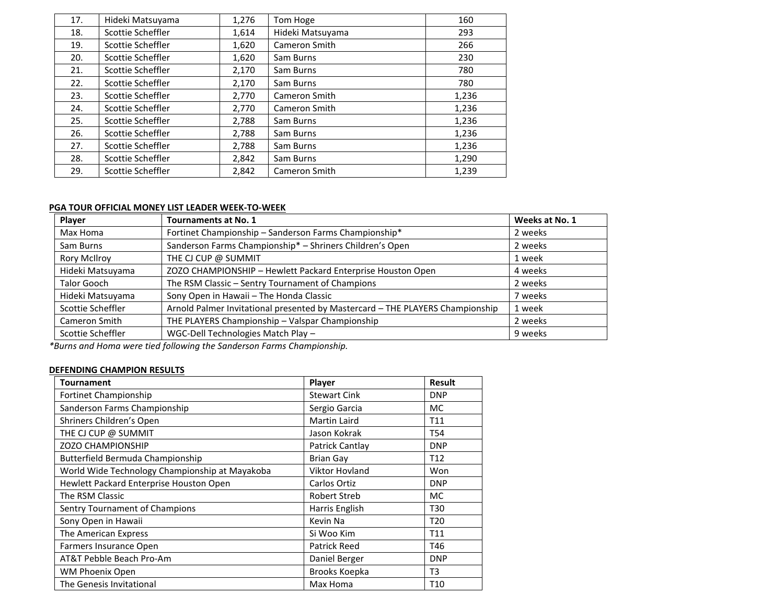| 17. | Hideki Matsuyama  | 1,276 | Tom Hoge         | 160   |
|-----|-------------------|-------|------------------|-------|
| 18. | Scottie Scheffler | 1,614 | Hideki Matsuyama | 293   |
| 19. | Scottie Scheffler | 1,620 | Cameron Smith    | 266   |
| 20. | Scottie Scheffler | 1,620 | Sam Burns        | 230   |
| 21. | Scottie Scheffler | 2,170 | Sam Burns        | 780   |
| 22. | Scottie Scheffler | 2,170 | Sam Burns        | 780   |
| 23. | Scottie Scheffler | 2,770 | Cameron Smith    | 1,236 |
| 24. | Scottie Scheffler | 2,770 | Cameron Smith    | 1,236 |
| 25. | Scottie Scheffler | 2,788 | Sam Burns        | 1,236 |
| 26. | Scottie Scheffler | 2,788 | Sam Burns        | 1,236 |
| 27. | Scottie Scheffler | 2,788 | Sam Burns        | 1,236 |
| 28. | Scottie Scheffler | 2,842 | Sam Burns        | 1,290 |
| 29. | Scottie Scheffler | 2,842 | Cameron Smith    | 1,239 |

# **PGA TOUR OFFICIAL MONEY LIST LEADER WEEK-TO-WEEK**

| Player              | <b>Tournaments at No. 1</b>                                                   | Weeks at No. 1 |
|---------------------|-------------------------------------------------------------------------------|----------------|
| Max Homa            | Fortinet Championship - Sanderson Farms Championship*                         | 2 weeks        |
| Sam Burns           | Sanderson Farms Championship* - Shriners Children's Open                      | 2 weeks        |
| <b>Rory McIlroy</b> | THE CJ CUP @ SUMMIT                                                           | 1 week         |
| Hideki Matsuyama    | ZOZO CHAMPIONSHIP - Hewlett Packard Enterprise Houston Open                   | 4 weeks        |
| <b>Talor Gooch</b>  | The RSM Classic - Sentry Tournament of Champions                              | 2 weeks        |
| Hideki Matsuyama    | Sony Open in Hawaii - The Honda Classic                                       | 7 weeks        |
| Scottie Scheffler   | Arnold Palmer Invitational presented by Mastercard - THE PLAYERS Championship | 1 week         |
| Cameron Smith       | THE PLAYERS Championship - Valspar Championship                               | 2 weeks        |
| Scottie Scheffler   | WGC-Dell Technologies Match Play -                                            | 9 weeks        |

*\*Burns and Homa were tied following the Sanderson Farms Championship.*

# **DEFENDING CHAMPION RESULTS**

| <b>Tournament</b>                              | Player                | Result          |
|------------------------------------------------|-----------------------|-----------------|
| Fortinet Championship                          | <b>Stewart Cink</b>   | <b>DNP</b>      |
| Sanderson Farms Championship                   | Sergio Garcia         | MC.             |
| Shriners Children's Open                       | <b>Martin Laird</b>   | T11             |
| THE CJ CUP @ SUMMIT                            | Jason Kokrak          | <b>T54</b>      |
| <b>ZOZO CHAMPIONSHIP</b>                       | Patrick Cantlay       | <b>DNP</b>      |
| Butterfield Bermuda Championship               | <b>Brian Gay</b>      | T <sub>12</sub> |
| World Wide Technology Championship at Mayakoba | <b>Viktor Hovland</b> | Won             |
| Hewlett Packard Enterprise Houston Open        | Carlos Ortiz          | <b>DNP</b>      |
| The RSM Classic                                | <b>Robert Streb</b>   | MC.             |
| Sentry Tournament of Champions                 | Harris English        | T30             |
| Sony Open in Hawaii                            | Kevin Na              | T <sub>20</sub> |
| The American Express                           | Si Woo Kim            | T11             |
| Farmers Insurance Open                         | <b>Patrick Reed</b>   | T46             |
| AT&T Pebble Beach Pro-Am                       | Daniel Berger         | <b>DNP</b>      |
| WM Phoenix Open                                | Brooks Koepka         | T <sub>3</sub>  |
| The Genesis Invitational                       | Max Homa              | T <sub>10</sub> |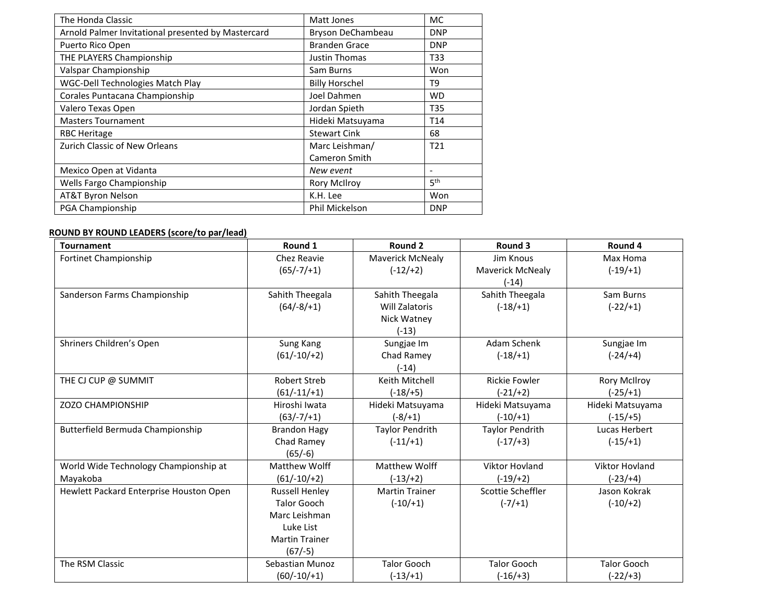| The Honda Classic                                  | Matt Jones            | <b>MC</b>       |
|----------------------------------------------------|-----------------------|-----------------|
| Arnold Palmer Invitational presented by Mastercard | Bryson DeChambeau     | <b>DNP</b>      |
| Puerto Rico Open                                   | <b>Branden Grace</b>  | <b>DNP</b>      |
| THE PLAYERS Championship                           | Justin Thomas         | T33             |
| Valspar Championship                               | Sam Burns             | Won             |
| <b>WGC-Dell Technologies Match Play</b>            | <b>Billy Horschel</b> | T9              |
| Corales Puntacana Championship                     | Joel Dahmen           | <b>WD</b>       |
| Valero Texas Open                                  | Jordan Spieth         | <b>T35</b>      |
| <b>Masters Tournament</b>                          | Hideki Matsuyama      | T <sub>14</sub> |
| <b>RBC Heritage</b>                                | <b>Stewart Cink</b>   | 68              |
| Zurich Classic of New Orleans                      | Marc Leishman/        | T <sub>21</sub> |
|                                                    | <b>Cameron Smith</b>  |                 |
| Mexico Open at Vidanta                             | New event             | ٠               |
| Wells Fargo Championship                           | <b>Rory McIlroy</b>   | 5 <sup>th</sup> |
| <b>AT&amp;T Byron Nelson</b>                       | K.H. Lee              | Won             |
| PGA Championship                                   | Phil Mickelson        | <b>DNP</b>      |

# **ROUND BY ROUND LEADERS (score/to par/lead)**

| <b>Tournament</b>                       | Round 1               | Round 2                 | Round 3                 | Round 4               |
|-----------------------------------------|-----------------------|-------------------------|-------------------------|-----------------------|
| Fortinet Championship                   | Chez Reavie           | <b>Maverick McNealy</b> | Jim Knous               | Max Homa              |
|                                         | $(65/-7/+1)$          | $(-12/+2)$              | <b>Maverick McNealy</b> | $(-19/1)$             |
|                                         |                       |                         | $(-14)$                 |                       |
| Sanderson Farms Championship            | Sahith Theegala       | Sahith Theegala         | Sahith Theegala         | Sam Burns             |
|                                         | $(64/-8/+1)$          | Will Zalatoris          | $(-18/1)$               | $(-22/+1)$            |
|                                         |                       | Nick Watney             |                         |                       |
|                                         |                       | $(-13)$                 |                         |                       |
| Shriners Children's Open                | Sung Kang             | Sungjae Im              | Adam Schenk             | Sungjae Im            |
|                                         | $(61/-10/+2)$         | Chad Ramey              | $(-18/ + 1)$            | $(-24/+4)$            |
|                                         |                       | $(-14)$                 |                         |                       |
| THE CJ CUP @ SUMMIT                     | <b>Robert Streb</b>   | Keith Mitchell          | <b>Rickie Fowler</b>    | <b>Rory McIlroy</b>   |
|                                         | $(61/-11/+1)$         | $(-18/ + 5)$            | $(-21/+2)$              | $(-25/ + 1)$          |
| <b>ZOZO CHAMPIONSHIP</b>                | Hiroshi Iwata         | Hideki Matsuyama        | Hideki Matsuyama        | Hideki Matsuyama      |
|                                         | $(63/-7/+1)$          | (-8/+1)                 | $(-10/+1)$              | $(-15/ + 5)$          |
| Butterfield Bermuda Championship        | <b>Brandon Hagy</b>   | <b>Taylor Pendrith</b>  | <b>Taylor Pendrith</b>  | Lucas Herbert         |
|                                         | Chad Ramey            | $(-11/+1)$              | $(-17/+3)$              | $(-15/+1)$            |
|                                         | $(65/-6)$             |                         |                         |                       |
| World Wide Technology Championship at   | Matthew Wolff         | <b>Matthew Wolff</b>    | <b>Viktor Hovland</b>   | <b>Viktor Hovland</b> |
| Mayakoba                                | $(61/-10/+2)$         | $(-13/+2)$              | $(-19/+2)$              | $(-23/+4)$            |
| Hewlett Packard Enterprise Houston Open | <b>Russell Henley</b> | <b>Martin Trainer</b>   | Scottie Scheffler       | Jason Kokrak          |
|                                         | <b>Talor Gooch</b>    | $(-10/+1)$              | $(-7/ + 1)$             | $(-10/+2)$            |
|                                         | Marc Leishman         |                         |                         |                       |
|                                         | Luke List             |                         |                         |                       |
|                                         | <b>Martin Trainer</b> |                         |                         |                       |
|                                         | $(67/-5)$             |                         |                         |                       |
| The RSM Classic                         | Sebastian Munoz       | <b>Talor Gooch</b>      | <b>Talor Gooch</b>      | <b>Talor Gooch</b>    |
|                                         | $(60/-10/+1)$         | $(-13/+1)$              | $(-16/ + 3)$            | $(-22/+3)$            |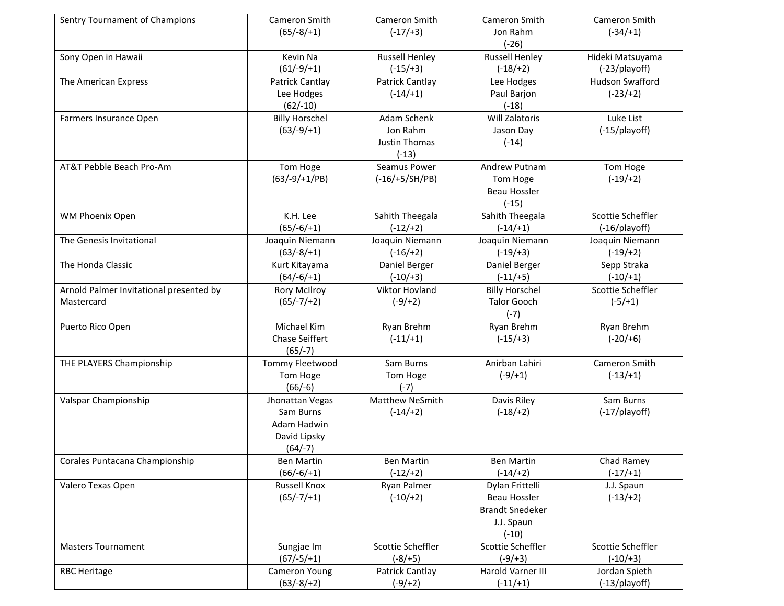| Sentry Tournament of Champions          | Cameron Smith<br>$(65/-8/+1)$ | Cameron Smith<br>$(-17/+3)$      | Cameron Smith<br>Jon Rahm | Cameron Smith          |
|-----------------------------------------|-------------------------------|----------------------------------|---------------------------|------------------------|
|                                         |                               |                                  | $(-26)$                   | $(-34/+1)$             |
| Sony Open in Hawaii                     | Kevin Na                      | <b>Russell Henley</b>            | <b>Russell Henley</b>     | Hideki Matsuyama       |
|                                         | $(61/-9/+1)$                  | $(-15/ + 3)$                     | $(-18/ + 2)$              | (-23/playoff)          |
| The American Express                    | Patrick Cantlay               | Patrick Cantlay                  | Lee Hodges                | <b>Hudson Swafford</b> |
|                                         | Lee Hodges                    | $(-14/+1)$                       | Paul Barjon               | $(-23/+2)$             |
|                                         | $(62/-10)$                    |                                  | $(-18)$                   |                        |
| Farmers Insurance Open                  | <b>Billy Horschel</b>         | Adam Schenk                      | <b>Will Zalatoris</b>     | Luke List              |
|                                         | $(63/-9/+1)$                  | Jon Rahm                         | Jason Day                 | (-15/playoff)          |
|                                         |                               | <b>Justin Thomas</b><br>$(-13)$  | $(-14)$                   |                        |
| AT&T Pebble Beach Pro-Am                | Tom Hoge                      | Seamus Power                     | Andrew Putnam             | Tom Hoge               |
|                                         | $(63/-9/+1/PB)$               | $(-16/+5/SH/PB)$                 | Tom Hoge                  | $(-19/ + 2)$           |
|                                         |                               |                                  | <b>Beau Hossler</b>       |                        |
|                                         |                               |                                  | $(-15)$                   |                        |
| WM Phoenix Open                         | K.H. Lee                      | Sahith Theegala                  | Sahith Theegala           | Scottie Scheffler      |
|                                         | $(65/-6/+1)$                  | $(-12/+2)$                       | $(-14/ + 1)$              | (-16/playoff)          |
| The Genesis Invitational                | Joaquin Niemann               | Joaquin Niemann                  | Joaquin Niemann           | Joaquin Niemann        |
|                                         | $(63/-8/+1)$                  | $(-16/ + 2)$                     | $(-19/ + 3)$              | $(-19/ + 2)$           |
| The Honda Classic                       | Kurt Kitayama                 | Daniel Berger                    | Daniel Berger             | Sepp Straka            |
|                                         | $(64/-6/+1)$                  | $(-10/+3)$                       | $(-11/+5)$                | $(-10/+1)$             |
| Arnold Palmer Invitational presented by | <b>Rory McIlroy</b>           | Viktor Hovland                   | <b>Billy Horschel</b>     | Scottie Scheffler      |
| Mastercard                              | $(65/-7/+2)$                  | $(-9/+2)$                        | <b>Talor Gooch</b>        | $(-5/ + 1)$            |
|                                         |                               |                                  | $(-7)$                    |                        |
| Puerto Rico Open                        | Michael Kim                   | Ryan Brehm                       | Ryan Brehm                | Ryan Brehm             |
|                                         | Chase Seiffert                | $(-11/+1)$                       | $(-15/ + 3)$              | $(-20/+6)$             |
|                                         | $(65/-7)$                     |                                  |                           |                        |
| THE PLAYERS Championship                | <b>Tommy Fleetwood</b>        | Sam Burns                        | Anirban Lahiri            | Cameron Smith          |
|                                         | Tom Hoge                      | Tom Hoge                         | $(-9/+1)$                 | $(-13/+1)$             |
|                                         | $(66/-6)$                     | $(-7)$<br><b>Matthew NeSmith</b> | Davis Riley               | Sam Burns              |
| Valspar Championship                    | Jhonattan Vegas<br>Sam Burns  | $(-14/ + 2)$                     | $(-18/ + 2)$              | $(-17$ /playoff)       |
|                                         | Adam Hadwin                   |                                  |                           |                        |
|                                         | David Lipsky                  |                                  |                           |                        |
|                                         | $(64/-7)$                     |                                  |                           |                        |
| Corales Puntacana Championship          | <b>Ben Martin</b>             | <b>Ben Martin</b>                | <b>Ben Martin</b>         | Chad Ramey             |
|                                         | $(66/-6/+1)$                  | $(-12/+2)$                       | $(-14/+2)$                | $(-17/ + 1)$           |
| Valero Texas Open                       | <b>Russell Knox</b>           | Ryan Palmer                      | Dylan Frittelli           | J.J. Spaun             |
|                                         | $(65/-7/+1)$                  | $(-10/+2)$                       | <b>Beau Hossler</b>       | $(-13/+2)$             |
|                                         |                               |                                  | <b>Brandt Snedeker</b>    |                        |
|                                         |                               |                                  | J.J. Spaun                |                        |
|                                         |                               |                                  | $(-10)$                   |                        |
| <b>Masters Tournament</b>               | Sungjae Im                    | Scottie Scheffler                | Scottie Scheffler         | Scottie Scheffler      |
|                                         | $(67/-5/+1)$                  | $(-8/ + 5)$                      | $(-9/+3)$                 | $(-10/+3)$             |
| <b>RBC Heritage</b>                     | Cameron Young                 | Patrick Cantlay                  | Harold Varner III         | Jordan Spieth          |
|                                         | $(63/-8/+2)$                  | $(-9/+2)$                        | $(-11/+1)$                | (-13/playoff)          |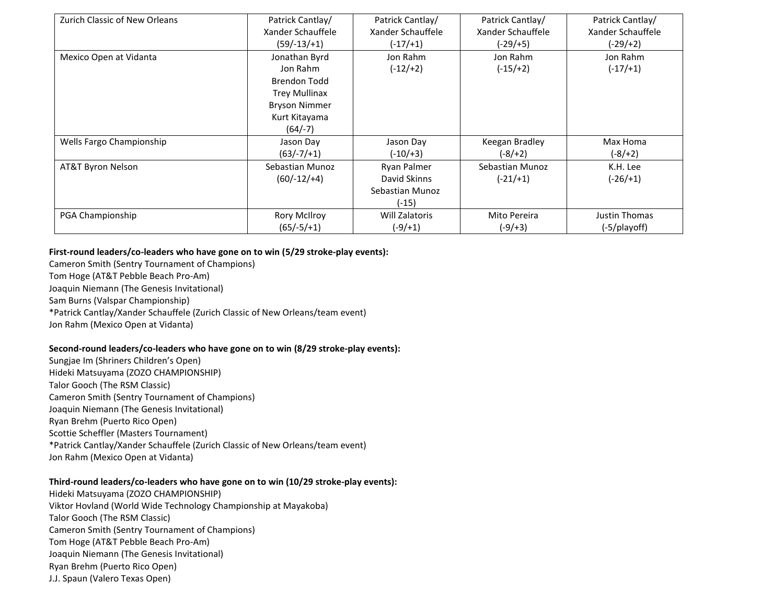| Zurich Classic of New Orleans | Patrick Cantlay/     | Patrick Cantlay/      | Patrick Cantlay/  | Patrick Cantlay/  |  |
|-------------------------------|----------------------|-----------------------|-------------------|-------------------|--|
|                               | Xander Schauffele    | Xander Schauffele     | Xander Schauffele | Xander Schauffele |  |
|                               | $(59/-13/+1)$        | $(-17/+1)$            | $(-29/+5)$        | $(-29/+2)$        |  |
| Mexico Open at Vidanta        | Jonathan Byrd        | Jon Rahm              | Jon Rahm          | Jon Rahm          |  |
|                               | Jon Rahm             | $(-12/+2)$            | $(-15/+2)$        | $(-17/+1)$        |  |
|                               | Brendon Todd         |                       |                   |                   |  |
|                               | <b>Trey Mullinax</b> |                       |                   |                   |  |
|                               | <b>Bryson Nimmer</b> |                       |                   |                   |  |
|                               | Kurt Kitayama        |                       |                   |                   |  |
|                               | $(64/-7)$            |                       |                   |                   |  |
| Wells Fargo Championship      | Jason Day            | Jason Day             | Keegan Bradley    | Max Homa          |  |
|                               | $(63/-7/+1)$         | (-10/+3)              | (-8/+2)           | $(-8/ + 2)$       |  |
| AT&T Byron Nelson             | Sebastian Munoz      | Ryan Palmer           | Sebastian Munoz   | K.H. Lee          |  |
|                               | $(60/-12/+4)$        | David Skinns          | $(-21/+1)$        | $(-26/ + 1)$      |  |
|                               |                      | Sebastian Munoz       |                   |                   |  |
|                               |                      | (-15)                 |                   |                   |  |
| PGA Championship              | <b>Rory McIlroy</b>  | <b>Will Zalatoris</b> | Mito Pereira      | Justin Thomas     |  |
|                               | $(65/-5/+1)$         | $(-9/ + 1)$           | $(-9/+3)$         | (-5/playoff)      |  |

## **First-round leaders/co-leaders who have gone on to win (5/29 stroke-play events):**

Cameron Smith (Sentry Tournament of Champions) Tom Hoge (AT&T Pebble Beach Pro-Am) Joaquin Niemann (The Genesis Invitational) Sam Burns (Valspar Championship) \*Patrick Cantlay/Xander Schauffele (Zurich Classic of New Orleans/team event) Jon Rahm (Mexico Open at Vidanta)

### **Second-round leaders/co-leaders who have gone on to win (8/29 stroke-play events):**

Sungjae Im (Shriners Children's Open) Hideki Matsuyama (ZOZO CHAMPIONSHIP) Talor Gooch (The RSM Classic) Cameron Smith (Sentry Tournament of Champions) Joaquin Niemann (The Genesis Invitational) Ryan Brehm (Puerto Rico Open) Scottie Scheffler (Masters Tournament) \*Patrick Cantlay/Xander Schauffele (Zurich Classic of New Orleans/team event) Jon Rahm (Mexico Open at Vidanta)

### **Third-round leaders/co-leaders who have gone on to win (10/29 stroke-play events):**

Hideki Matsuyama (ZOZO CHAMPIONSHIP) Viktor Hovland (World Wide Technology Championship at Mayakoba) Talor Gooch (The RSM Classic) Cameron Smith (Sentry Tournament of Champions) Tom Hoge (AT&T Pebble Beach Pro-Am) Joaquin Niemann (The Genesis Invitational) Ryan Brehm (Puerto Rico Open) J.J. Spaun (Valero Texas Open)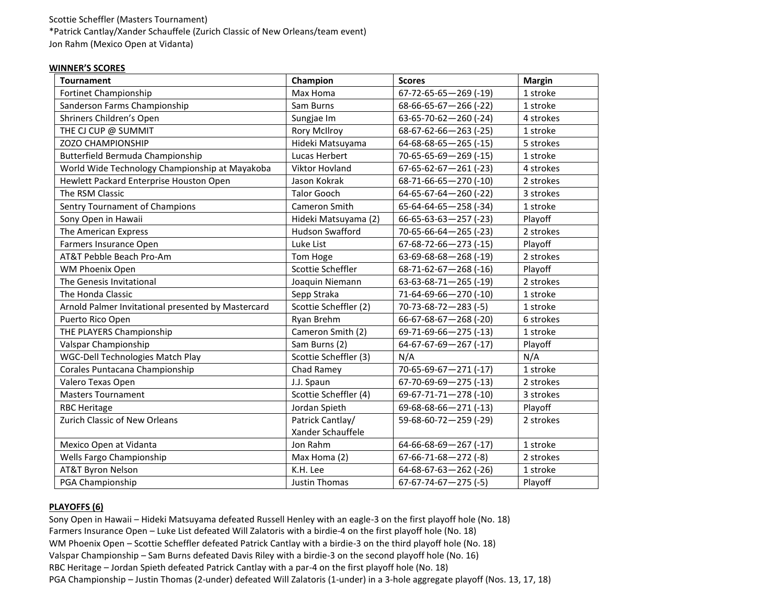# Scottie Scheffler (Masters Tournament) \*Patrick Cantlay/Xander Schauffele (Zurich Classic of New Orleans/team event) Jon Rahm (Mexico Open at Vidanta)

#### **WINNER'S SCORES**

| <b>Tournament</b>                                  | Champion                              | <b>Scores</b>                   | <b>Margin</b> |
|----------------------------------------------------|---------------------------------------|---------------------------------|---------------|
| Fortinet Championship                              | Max Homa                              | 67-72-65-65-269 (-19)           | 1 stroke      |
| Sanderson Farms Championship                       | Sam Burns                             | $68-66-65-67-266$ (-22)         | 1 stroke      |
| Shriners Children's Open                           | Sungjae Im                            | 63-65-70-62-260 (-24)           | 4 strokes     |
| THE CJ CUP @ SUMMIT                                | <b>Rory McIlroy</b>                   | 68-67-62-66-263 (-25)           | 1 stroke      |
| ZOZO CHAMPIONSHIP                                  | Hideki Matsuyama                      | $64 - 68 - 68 - 65 - 265$ (-15) | 5 strokes     |
| Butterfield Bermuda Championship                   | Lucas Herbert                         | 70-65-65-69-269 (-15)           | 1 stroke      |
| World Wide Technology Championship at Mayakoba     | <b>Viktor Hovland</b>                 | $67 - 65 - 62 - 67 - 261$ (-23) | 4 strokes     |
| Hewlett Packard Enterprise Houston Open            | Jason Kokrak                          | 68-71-66-65-270 (-10)           | 2 strokes     |
| The RSM Classic                                    | <b>Talor Gooch</b>                    | 64-65-67-64-260 (-22)           | 3 strokes     |
| Sentry Tournament of Champions                     | Cameron Smith                         | $65 - 64 - 64 - 65 - 258$ (-34) | 1 stroke      |
| Sony Open in Hawaii                                | Hideki Matsuyama (2)                  | $66 - 65 - 63 - 63 - 257$ (-23) | Playoff       |
| The American Express                               | <b>Hudson Swafford</b>                | 70-65-66-64-265 (-23)           | 2 strokes     |
| Farmers Insurance Open                             | Luke List                             | 67-68-72-66-273 (-15)           | Playoff       |
| AT&T Pebble Beach Pro-Am                           | Tom Hoge                              | 63-69-68-68-268 (-19)           | 2 strokes     |
| WM Phoenix Open                                    | Scottie Scheffler                     | $68-71-62-67-268$ (-16)         | Playoff       |
| The Genesis Invitational                           | Joaquin Niemann                       | $63-63-68-71-265$ (-19)         | 2 strokes     |
| The Honda Classic                                  | Sepp Straka                           | 71-64-69-66-270 (-10)           | 1 stroke      |
| Arnold Palmer Invitational presented by Mastercard | Scottie Scheffler (2)                 | $70-73-68-72-283$ (-5)          | 1 stroke      |
| Puerto Rico Open                                   | Ryan Brehm                            | 66-67-68-67-268 (-20)           | 6 strokes     |
| THE PLAYERS Championship                           | Cameron Smith (2)                     | 69-71-69-66-275 (-13)           | 1 stroke      |
| Valspar Championship                               | Sam Burns (2)                         | $64-67-67-69-267$ (-17)         | Playoff       |
| <b>WGC-Dell Technologies Match Play</b>            | Scottie Scheffler (3)                 | N/A                             | N/A           |
| Corales Puntacana Championship                     | Chad Ramey                            | 70-65-69-67-271 (-17)           | 1 stroke      |
| Valero Texas Open                                  | J.J. Spaun                            | $67 - 70 - 69 - 69 - 275$ (-13) | 2 strokes     |
| <b>Masters Tournament</b>                          | Scottie Scheffler (4)                 | 69-67-71-71-278 (-10)           | 3 strokes     |
| <b>RBC Heritage</b>                                | Jordan Spieth                         | 69-68-68-66-271 (-13)           | Playoff       |
| Zurich Classic of New Orleans                      | Patrick Cantlay/<br>Xander Schauffele | 59-68-60-72-259 (-29)           | 2 strokes     |
| Mexico Open at Vidanta                             | Jon Rahm                              | $64-66-68-69-267$ (-17)         | 1 stroke      |
| Wells Fargo Championship                           | Max Homa (2)                          | $67-66-71-68-272$ (-8)          | 2 strokes     |
| <b>AT&amp;T Byron Nelson</b>                       | K.H. Lee                              | $64-68-67-63-262$ (-26)         | 1 stroke      |
| PGA Championship                                   | <b>Justin Thomas</b>                  | $67-67-74-67-275$ (-5)          | Playoff       |

# **PLAYOFFS (6)**

Sony Open in Hawaii – Hideki Matsuyama defeated Russell Henley with an eagle-3 on the first playoff hole (No. 18) Farmers Insurance Open – Luke List defeated Will Zalatoris with a birdie-4 on the first playoff hole (No. 18) WM Phoenix Open – Scottie Scheffler defeated Patrick Cantlay with a birdie-3 on the third playoff hole (No. 18) Valspar Championship – Sam Burns defeated Davis Riley with a birdie-3 on the second playoff hole (No. 16) RBC Heritage – Jordan Spieth defeated Patrick Cantlay with a par-4 on the first playoff hole (No. 18) PGA Championship – Justin Thomas (2-under) defeated Will Zalatoris (1-under) in a 3-hole aggregate playoff (Nos. 13, 17, 18)